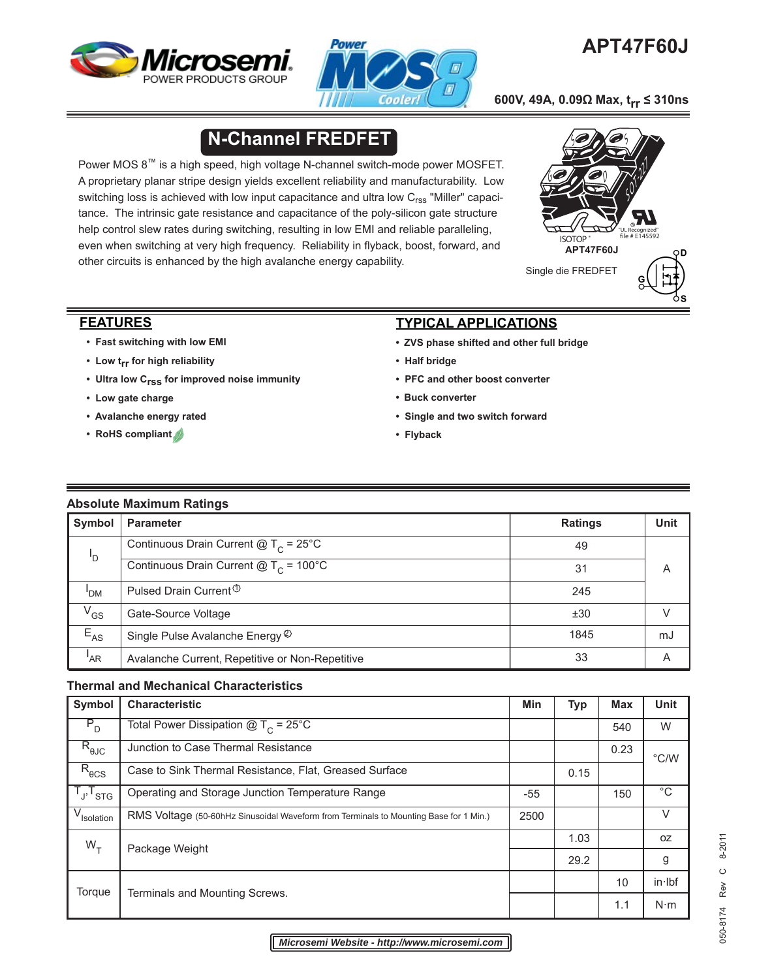



# **APT47F60J**

**600V, 49A, 0.09Ω Max, trr ≤ 310ns**

# **N-Channel FREDFET**

Power MOS 8™ is a high speed, high voltage N-channel switch-mode power MOSFET. A proprietary planar stripe design yields excellent reliability and manufacturability. Low switching loss is achieved with low input capacitance and ultra low  $C_{\rm rss}$  "Miller" capacitance. The intrinsic gate resistance and capacitance of the poly-silicon gate structure help control slew rates during switching, resulting in low EMI and reliable paralleling, even when switching at very high frequency. Reliability in flyback, boost, forward, and other circuits is enhanced by the high avalanche energy capability.



#### **FEATURES**

- **Fast switching with low EMI**
- **Low trr for high reliability**
- **Ultra low Crss for improved noise immunity**
- **Low gate charge**
- **• Avalanche energy rated**
- **RoHS compliant**

## **TYPICAL APPLICATIONS**

- **ZVS phase shifted and other full bridge**
- **Half bridge**
- **PFC and other boost converter**
- **Buck converter**
- **Single and two switch forward**
- **Flyback**

#### **Absolute Maximum Ratings**

| Symbol   | <b>Parameter</b>                                                  | <b>Ratings</b> | <b>Unit</b> |
|----------|-------------------------------------------------------------------|----------------|-------------|
| 'D       | Continuous Drain Current $@T_c = 25^{\circ}$ C                    | 49             |             |
|          | Continuous Drain Current $\textcircled{a}$ T <sub>C</sub> = 100°C | 31             | A           |
| 'DM      | Pulsed Drain Current <sup>1</sup>                                 | 245            |             |
| $V_{GS}$ | Gate-Source Voltage                                               | ±30            |             |
| $E_{AS}$ | Single Pulse Avalanche Energy ©                                   | 1845           | mJ          |
| 'AR      | Avalanche Current, Repetitive or Non-Repetitive                   | 33             | A           |

#### **Thermal and Mechanical Characteristics**

| Symbol                  | <b>Characteristic</b>                                                                 |  | <b>Typ</b> | <b>Max</b> | <b>Unit</b>   |
|-------------------------|---------------------------------------------------------------------------------------|--|------------|------------|---------------|
| $P_{D}$                 | Total Power Dissipation $@T_c = 25°C$                                                 |  |            | 540        | W             |
| $R_{\theta$ JC          | Junction to Case Thermal Resistance                                                   |  |            | 0.23       | $\degree$ C/W |
| $R_{\theta CS}$         | Case to Sink Thermal Resistance, Flat, Greased Surface                                |  | 0.15       |            |               |
| $T_{\sf J},T_{\sf STG}$ | Operating and Storage Junction Temperature Range                                      |  |            | 150        | $^{\circ}C$   |
| V <sub>Isolation</sub>  | RMS Voltage (50-60hHz Sinusoidal Waveform from Terminals to Mounting Base for 1 Min.) |  |            |            | V             |
| $W_{\tau}$              |                                                                                       |  | 1.03       |            | 0Z            |
|                         | Package Weight                                                                        |  | 29.2       |            | g             |
| Torque                  | Terminals and Mounting Screws.                                                        |  |            | 10         | in·lbf        |
|                         |                                                                                       |  |            | 1.1        | $N \cdot m$   |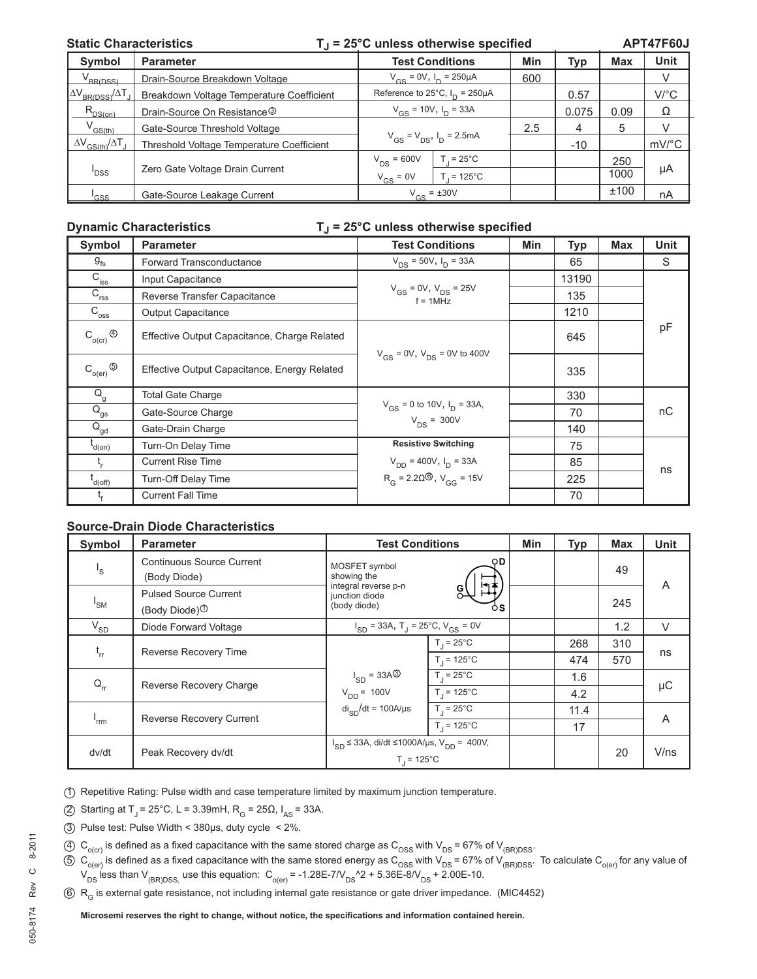#### **Static Characteristics T i = 25°C unless otherwise specified**

**APT47F60J**

| Symbol                                   | <b>Parameter</b>                          | <b>Test Conditions</b>               |                    | Min | Typ   | <b>Max</b> | <b>Unit</b>          |
|------------------------------------------|-------------------------------------------|--------------------------------------|--------------------|-----|-------|------------|----------------------|
| BRIDSSL                                  | Drain-Source Breakdown Voltage            | $V_{cs} = 0V$ , $I_{D} = 250 \mu A$  |                    | 600 |       |            |                      |
| $\Delta V_{BR(DSS)}/\Delta T$            | Breakdown Voltage Temperature Coefficient | Reference to 25°C, $I_D = 250 \mu A$ |                    |     | 0.57  |            | $V$ <sup>o</sup> $C$ |
| $R_{DS(on)}$                             | Drain-Source On Resistance <sup>3</sup>   | $V_{GS}$ = 10V, $I_D$ = 33A          |                    |     | 0.075 | 0.09       | Ω                    |
| $V^{\text{GS-th}}$                       | Gate-Source Threshold Voltage             | $V_{GS} = V_{DS}$ , $I_D = 2.5mA$    |                    | 2.5 | 4     | 5          |                      |
| $\Delta V$ <sub>GS(th)</sub> $/\Delta T$ | Threshold Voltage Temperature Coefficient |                                      |                    |     | $-10$ |            | mV/°C                |
|                                          |                                           | $V_{DS} = 600V$                      | $T = 25^{\circ}$ C |     |       | 250        |                      |
| <sup>I</sup> DSS                         | Zero Gate Voltage Drain Current           | $V_{GS} = 0V$                        | $= 125^{\circ}$ C  |     |       | 1000       | μA                   |
| 'GSS                                     | Gate-Source Leakage Current               | $V_{GS} = \pm 30V$                   |                    |     |       | ±100       | nA                   |

#### **Dynamic Characteristics TJ = 25°C unless otherwise specified**

| <b>Symbol</b>                            | <b>Parameter</b>                             | <b>Test Conditions</b>                               | Min | <b>Typ</b> | <b>Max</b> | <b>Unit</b> |  |
|------------------------------------------|----------------------------------------------|------------------------------------------------------|-----|------------|------------|-------------|--|
| $g_{\rm fs}$                             | Forward Transconductance                     | $V_{DS}$ = 50V, $I_{D}$ = 33A                        |     | 65         |            | S           |  |
| $C_{\text{iss}}$                         | Input Capacitance                            |                                                      |     | 13190      |            |             |  |
| $C_{\text{rss}}$                         | Reverse Transfer Capacitance                 | $V_{GS}$ = 0V, $V_{DS}$ = 25V<br>$f = 1$ MHz         |     | 135        |            |             |  |
| $C_{\overline{\text{oss}}}$              | Output Capacitance                           |                                                      |     | 1210       |            |             |  |
| $C_{o(cr)}^{\bullet}$                    | Effective Output Capacitance, Charge Related | $V_{GS}$ = 0V, $V_{DS}$ = 0V to 400V                 |     | 645        |            | pF          |  |
| $\mathsf{C}_{\mathsf{o}(\mathsf{er})}$ ⑤ | Effective Output Capacitance, Energy Related |                                                      |     | 335        |            |             |  |
| $Q_g$                                    | <b>Total Gate Charge</b>                     |                                                      |     | 330        |            |             |  |
| $Q_{gs}$                                 | Gate-Source Charge                           | $V_{GS}$ = 0 to 10V, $I_D$ = 33A,<br>$V_{DS} = 300V$ |     | 70         |            | nC          |  |
| $\bar{\mathsf{Q}}_\mathsf{gd}$           | Gate-Drain Charge                            |                                                      |     | 140        |            |             |  |
| $I_{d(0n)}$                              | Turn-On Delay Time                           | <b>Resistive Switching</b>                           |     | 75         |            |             |  |
|                                          | <b>Current Rise Time</b>                     | $V_{DD}$ = 400V, $I_D$ = 33A                         |     | 85         |            | ns          |  |
| l<br>d(off)                              | <b>Turn-Off Delay Time</b>                   | $R_G = 2.20\textcircled{\ }$ , $V_{GG} = 15V$        |     | 225        |            |             |  |
|                                          | <b>Current Fall Time</b>                     |                                                      |     | 70         |            |             |  |

### **Source-Drain Diode Characteristics**

| Symbol                  | <b>Parameter</b>                                               | <b>Test Conditions</b>                                                           | <b>Min</b> | <b>Typ</b> | <b>Max</b> | <b>Unit</b> |
|-------------------------|----------------------------------------------------------------|----------------------------------------------------------------------------------|------------|------------|------------|-------------|
| $\mathsf{I}_\mathsf{S}$ | Continuous Source Current<br>(Body Diode)                      | OD.<br>MOSFET symbol<br>showing the                                              |            |            | 49         | A           |
| 'sm                     | <b>Pulsed Source Current</b><br>(Body Diode) $\textcircled{1}$ | Ħŧ<br>integral reverse p-n<br>junction diode<br>(body diode)<br>όs               |            |            | 245        |             |
| $\rm V_{SD}$            | Diode Forward Voltage                                          | $I_{SD}$ = 33A, T <sub>J</sub> = 25°C, V <sub>GS</sub> = 0V                      |            |            | 1.2        | $\vee$      |
| $t_{rr}$                |                                                                | $T_1 = 25^{\circ}C$                                                              |            | 268        | 310        |             |
|                         | Reverse Recovery Time                                          | $T_1 = 125^{\circ}C$                                                             |            | 474        | 570        | ns          |
| $Q_{rr}$                | Reverse Recovery Charge                                        | $I_{SD} = 33A^{(3)}$<br>$T_1 = 25^{\circ}C$                                      |            | 1.6        |            |             |
|                         |                                                                | $T_1 = 125^{\circ}C$<br>$V_{DD} = 100V$                                          |            | 4.2        |            | $\mu$ C     |
| 'rrm                    | <b>Reverse Recovery Current</b>                                | $di_{SD}/dt = 100A/\mu s$<br>$T_1 = 25^{\circ}C$                                 |            | 11.4       |            |             |
|                         |                                                                | $T_1 = 125^{\circ}C$                                                             |            | 17         |            | A           |
| dv/dt                   | Peak Recovery dv/dt                                            | $I_{SD}$ ≤ 33A, di/dt ≤1000A/µs, V <sub>DD</sub> = 400V,<br>$T_1 = 125^{\circ}C$ |            |            | 20         | V/ns        |

1 Repetitive Rating: Pulse width and case temperature limited by maximum junction temperature.

- (2) Starting at T<sub>J</sub> = 25°C, L = 3.39mH, R<sub>G</sub> = 25Ω, I<sub>AS</sub> = 33A.
- 3 Pulse test: Pulse Width < 380μs, duty cycle < 2%.
- (4)  $C_{O(C)}$  is defined as a fixed capacitance with the same stored charge as  $C_{OSS}$  with  $V_{DS}$  = 67% of V<sub>(BR)DSS</sub>.
- $5 \text{ C}_{o(\text{er})}$  is defined as a fixed capacitance with the same stored energy as  $\text{C}_{OSS}$  with  $\text{V}_{DS} = 67\%$  of  $\text{V}_{(BR)DSS}$ . To calculate  $\text{C}_{o(\text{er})}$  for any value of  $V_{DS}$  less than  $V_{(BR)DSS}$  use this equation:  $C_{o(er)} = -1.28E - 7N_{DS}^2$  + 5.36E-8 $N_{DS}$  + 2.00E-10.
- 6 R<sub>G</sub> is external gate resistance, not including internal gate resistance or gate driver impedance. (MIC4452)

Microsemi reserves the right to change, without notice, the specifications and information contained herein.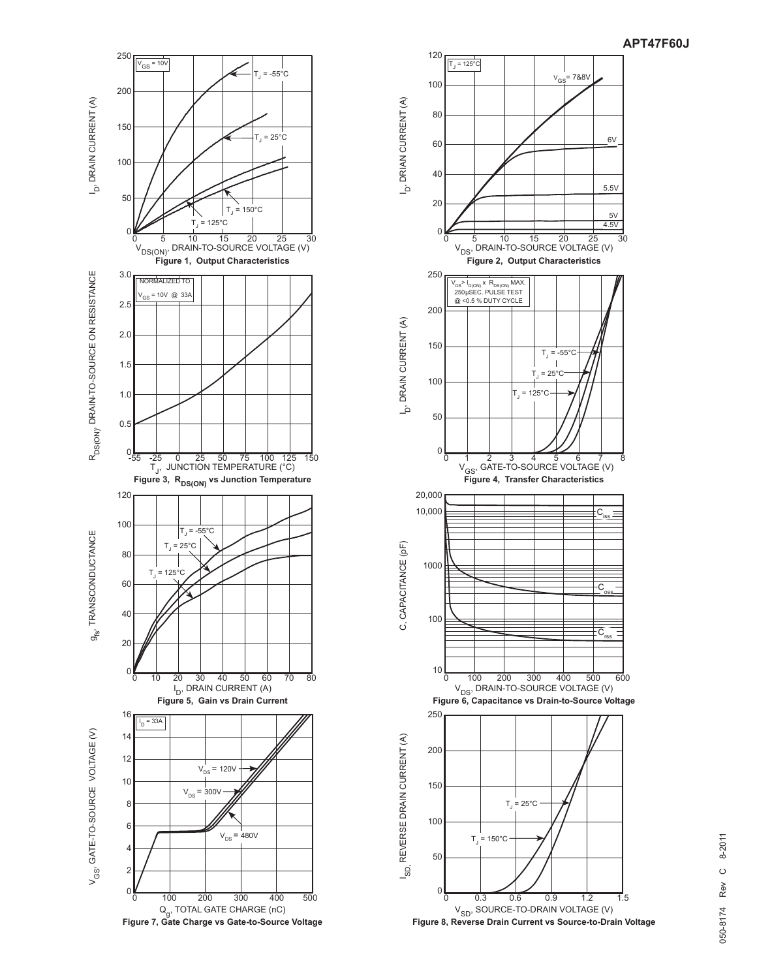



 **Figure 8, Reverse Drain Current vs Source-to-Drain Voltage**